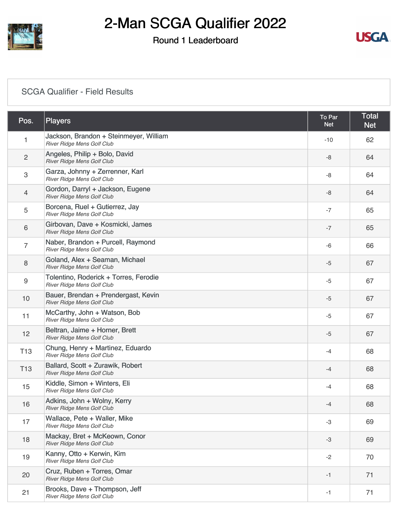

# 2-Man SCGA Qualifier 2022

### Round 1 Leaderboard



#### [SCGA Qualifier - Field Results](https://static.golfgenius.com/v2tournaments/8485931434438050372?called_from=&round_index=1)

| Pos.                      | Players                                                              | To Par<br><b>Net</b> | <b>Total</b><br><b>Net</b> |
|---------------------------|----------------------------------------------------------------------|----------------------|----------------------------|
| 1                         | Jackson, Brandon + Steinmeyer, William<br>River Ridge Mens Golf Club | $-10$                | 62                         |
| $\sqrt{2}$                | Angeles, Philip + Bolo, David<br>River Ridge Mens Golf Club          | -8                   | 64                         |
| $\ensuremath{\mathsf{3}}$ | Garza, Johnny + Zerrenner, Karl<br>River Ridge Mens Golf Club        | -8                   | 64                         |
| 4                         | Gordon, Darryl + Jackson, Eugene<br>River Ridge Mens Golf Club       | -8                   | 64                         |
| 5                         | Borcena, Ruel + Gutierrez, Jay<br>River Ridge Mens Golf Club         | $-7$                 | 65                         |
| 6                         | Girbovan, Dave + Kosmicki, James<br>River Ridge Mens Golf Club       | $-7$                 | 65                         |
| $\overline{7}$            | Naber, Brandon + Purcell, Raymond<br>River Ridge Mens Golf Club      | $-6$                 | 66                         |
| 8                         | Goland, Alex + Seaman, Michael<br>River Ridge Mens Golf Club         | $-5$                 | 67                         |
| 9                         | Tolentino, Roderick + Torres, Ferodie<br>River Ridge Mens Golf Club  | $-5$                 | 67                         |
| 10                        | Bauer, Brendan + Prendergast, Kevin<br>River Ridge Mens Golf Club    | $-5$                 | 67                         |
| 11                        | McCarthy, John + Watson, Bob<br>River Ridge Mens Golf Club           | $-5$                 | 67                         |
| 12                        | Beltran, Jaime + Horner, Brett<br>River Ridge Mens Golf Club         | $-5$                 | 67                         |
| T <sub>13</sub>           | Chung, Henry + Martinez, Eduardo<br>River Ridge Mens Golf Club       | $-4$                 | 68                         |
| T <sub>13</sub>           | Ballard, Scott + Zurawik, Robert<br>River Ridge Mens Golf Club       | $-4$                 | 68                         |
| 15                        | Kiddle, Simon + Winters, Eli<br>River Ridge Mens Golf Club           | $-4$                 | 68                         |
| 16                        | Adkins, John + Wolny, Kerry<br>River Ridge Mens Golf Club            | $-4$                 | 68                         |
| 17                        | Wallace, Pete + Waller, Mike<br>River Ridge Mens Golf Club           | -3                   | 69                         |
| 18                        | Mackay, Bret + McKeown, Conor<br>River Ridge Mens Golf Club          | $-3$                 | 69                         |
| 19                        | Kanny, Otto + Kerwin, Kim<br>River Ridge Mens Golf Club              | $-2$                 | 70                         |
| 20                        | Cruz, Ruben + Torres, Omar<br>River Ridge Mens Golf Club             | $-1$                 | 71                         |
| 21                        | Brooks, Dave + Thompson, Jeff<br>River Ridge Mens Golf Club          | -1                   | 71                         |